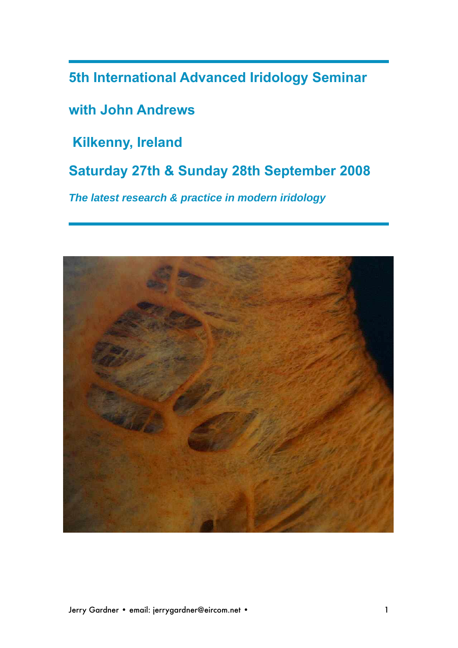**5th International Advanced Iridology Seminar**

**with John Andrews**

 **Kilkenny, Ireland**

**Saturday 27th & Sunday 28th September 2008**

**The latest research & practice in modern iridology**

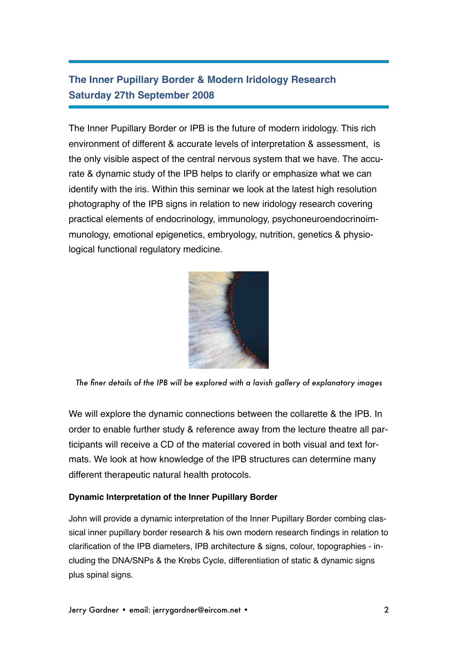# **The Inner Pupillary Border & Modern Iridology Research Saturday 27th September 2008**

The Inner Pupillary Border or IPB is the future of modern iridology. This rich environment of different & accurate levels of interpretation & assessment, is the only visible aspect of the central nervous system that we have. The accurate & dynamic study of the IPB helps to clarify or emphasize what we can identify with the iris. Within this seminar we look at the latest high resolution photography of the IPB signs in relation to new iridology research covering practical elements of endocrinology, immunology, psychoneuroendocrinoimmunology, emotional epigenetics, embryology, nutrition, genetics & physiological functional regulatory medicine.



*The finer details of the IPB will be explored with a lavish gallery of explanatory images* 

We will explore the dynamic connections between the collarette & the IPB. In order to enable further study & reference away from the lecture theatre all participants will receive a CD of the material covered in both visual and text formats. We look at how knowledge of the IPB structures can determine many different therapeutic natural health protocols.

### **Dynamic Interpretation of the Inner Pupillary Border**

John will provide a dynamic interpretation of the Inner Pupillary Border combing classical inner pupillary border research & his own modern research findings in relation to clarification of the IPB diameters, IPB architecture & signs, colour, topographies - including the DNA/SNPs & the Krebs Cycle, differentiation of static & dynamic signs plus spinal signs.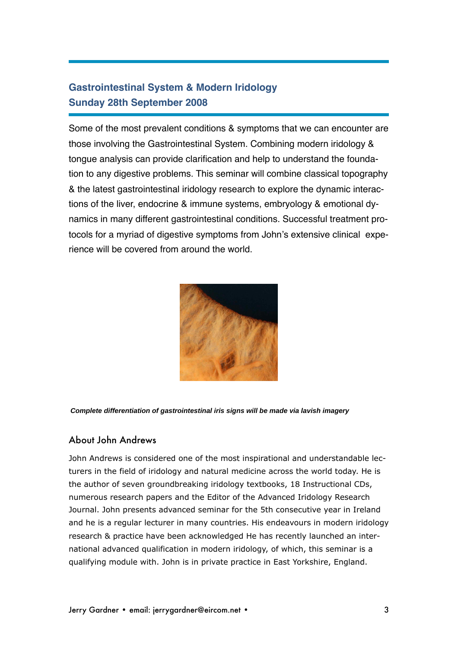### **Gastrointestinal System & Modern Iridology Sunday 28th September 2008**

Some of the most prevalent conditions & symptoms that we can encounter are those involving the Gastrointestinal System. Combining modern iridology & tongue analysis can provide clarification and help to understand the foundation to any digestive problems. This seminar will combine classical topography & the latest gastrointestinal iridology research to explore the dynamic interactions of the liver, endocrine & immune systems, embryology & emotional dynamics in many different gastrointestinal conditions. Successful treatment protocols for a myriad of digestive symptoms from John's extensive clinical experience will be covered from around the world.



**Complete differentiation of gastrointestinal iris signs will be made via lavish imagery**

### About John Andrews

John Andrews is considered one of the most inspirational and understandable lecturers in the field of iridology and natural medicine across the world today. He is the author of seven groundbreaking iridology textbooks, 18 Instructional CDs, numerous research papers and the Editor of the Advanced Iridology Research Journal. John presents advanced seminar for the 5th consecutive year in Ireland and he is a regular lecturer in many countries. His endeavours in modern iridology research & practice have been acknowledged He has recently launched an international advanced qualification in modern iridology, of which, this seminar is a qualifying module with. John is in private practice in East Yorkshire, England.